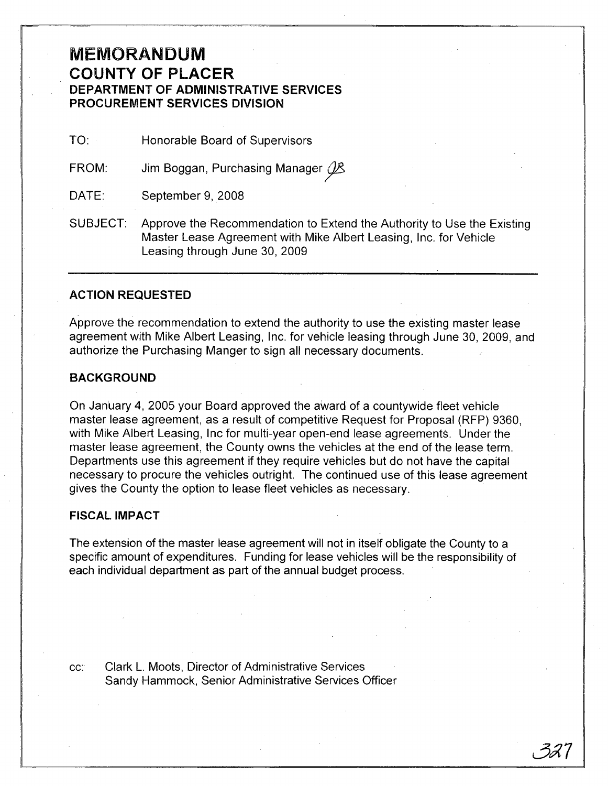## **MEMORANDUM COUNTY OF PLACER DEPARTMENT OF ADMINISTRATIVE SERVICES PROCUREMENT SERVICES DIVISION**

TO: Honorable Board of Supervisors

FROM: Jim Boggan, Purchasing Manager  $\cancel{\beta}$ 

DATE: September 9, 2008

SUBJECT: Approve the Recommendation to Extend the Authority to Use the Existing Master Lease Agreement with Mike Albert Leasing, Inc. for Vehicle Leasing through June 30, 2009

## **ACTION REQUESTED**

Approve the recommendation to extend the authority to use the existing master lease agreement with Mike Albert Leasing, Inc. for vehicle leasing through June 30, 2009, and authorize the Purchasing Manger to sign all necessary documents.

## **BACKGROUND**

On January 4, 2005 your Board approved the award of a countywide fleet vehicle master lease agreement, as a result of competitive Request for Proposal (RFP) 9360, with Mike Albert Leasing, Inc for multi-year open-end lease agreements. Under the master lease agreement, the County owns the vehicles at the end of the lease term. Departments use this agreement if they require vehicles but do not have the capital necessary to procure the vehicles outright. The continued use of this lease agreement gives the County the option to lease fleet vehicles as necessary.

## **FISCAL IMPACT**

The extension of the master lease agreement will not in itself obligate the County to a specific amount of expenditures. Funding for lease vehicles will be the responsibility of each individual department as part of the annual budget process.

cc: Clark L. Moots, Director of Administrative Services Sandy Hammock, Senior Administrative Services Officer